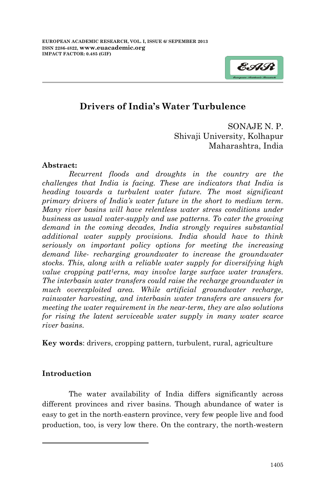

# **Drivers of India's Water Turbulence**

SONAJE N. P. Shivaji University, Kolhapur Maharashtra, India

#### **Abstract:**

*Recurrent floods and droughts in the country are the challenges that India is facing. These are indicators that India is heading towards a turbulent water future. The most significant primary drivers of India's water future in the short to medium term. Many river basins will have relentless water stress conditions under business as usual water-supply and use patterns. To cater the growing demand in the coming decades, India strongly requires substantial additional water supply provisions. India should have to think seriously on important policy options for meeting the increasing demand like- recharging groundwater to increase the groundwater stocks. This, along with a reliable water supply for diversifying high value cropping patt1erns, may involve large surface water transfers. The interbasin water transfers could raise the recharge groundwater in much overexploited area. While artificial groundwater recharge, rainwater harvesting, and interbasin water transfers are answers for meeting the water requirement in the near-term, they are also solutions for rising the latent serviceable water supply in many water scarce river basins.*

**Key words**: drivers, cropping pattern, turbulent, rural, agriculture

### **Introduction**

**.** 

The water availability of India differs significantly across different provinces and river basins. Though abundance of water is easy to get in the north-eastern province, very few people live and food production, too, is very low there. On the contrary, the north-western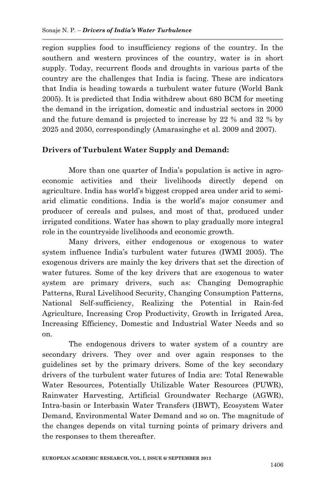region supplies food to insufficiency regions of the country. In the southern and western provinces of the country, water is in short supply. Today, recurrent floods and droughts in various parts of the country are the challenges that India is facing. These are indicators that India is heading towards a turbulent water future (World Bank 2005). It is predicted that India withdrew about 680 BCM for meeting the demand in the irrigation, domestic and industrial sectors in 2000 and the future demand is projected to increase by 22 % and 32 % by 2025 and 2050, correspondingly (Amarasinghe et al. 2009 and 2007).

# **Drivers of Turbulent Water Supply and Demand:**

More than one quarter of India's population is active in agroeconomic activities and their livelihoods directly depend on agriculture. India has world"s biggest cropped area under arid to semiarid climatic conditions. India is the world"s major consumer and producer of cereals and pulses, and most of that, produced under irrigated conditions. Water has shown to play gradually more integral role in the countryside livelihoods and economic growth.

Many drivers, either endogenous or exogenous to water system influence India"s turbulent water futures (IWMI 2005). The exogenous drivers are mainly the key drivers that set the direction of water futures. Some of the key drivers that are exogenous to water system are primary drivers, such as: Changing Demographic Patterns, Rural Livelihood Security, Changing Consumption Patterns, National Self-sufficiency, Realizing the Potential in Rain-fed Agriculture, Increasing Crop Productivity, Growth in Irrigated Area, Increasing Efficiency, Domestic and Industrial Water Needs and so on.

The endogenous drivers to water system of a country are secondary drivers. They over and over again responses to the guidelines set by the primary drivers. Some of the key secondary drivers of the turbulent water futures of India are: Total Renewable Water Resources, Potentially Utilizable Water Resources (PUWR), Rainwater Harvesting, Artificial Groundwater Recharge (AGWR), Intra-basin or Interbasin Water Transfers (IBWT), Ecosystem Water Demand, Environmental Water Demand and so on. The magnitude of the changes depends on vital turning points of primary drivers and the responses to them thereafter.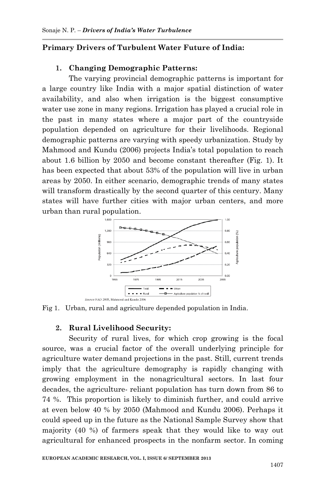# **Primary Drivers of Turbulent Water Future of India:**

# **1. Changing Demographic Patterns:**

The varying provincial demographic patterns is important for a large country like India with a major spatial distinction of water availability, and also when irrigation is the biggest consumptive water use zone in many regions. Irrigation has played a crucial role in the past in many states where a major part of the countryside population depended on agriculture for their livelihoods. Regional demographic patterns are varying with speedy urbanization. Study by Mahmood and Kundu (2006) projects India"s total population to reach about 1.6 billion by 2050 and become constant thereafter (Fig. 1). It has been expected that about 53% of the population will live in urban areas by 2050. In either scenario, demographic trends of many states will transform drastically by the second quarter of this century. Many states will have further cities with major urban centers, and more urban than rural population.



Fig 1. Urban, rural and agriculture depended population in India.

### **2. Rural Livelihood Security:**

Security of rural lives, for which crop growing is the focal source, was a crucial factor of the overall underlying principle for agriculture water demand projections in the past. Still, current trends imply that the agriculture demography is rapidly changing with growing employment in the nonagricultural sectors. In last four decades, the agriculture- reliant population has turn down from 86 to 74 %. This proportion is likely to diminish further, and could arrive at even below 40 % by 2050 (Mahmood and Kundu 2006). Perhaps it could speed up in the future as the National Sample Survey show that majority (40 %) of farmers speak that they would like to way out agricultural for enhanced prospects in the nonfarm sector. In coming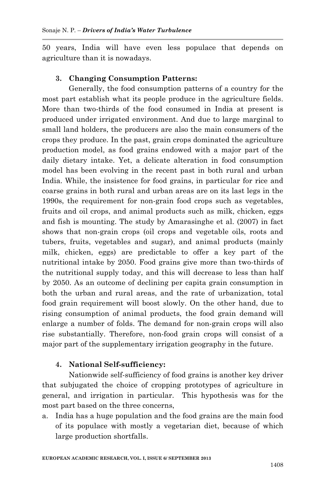50 years, India will have even less populace that depends on agriculture than it is nowadays.

# **3. Changing Consumption Patterns:**

Generally, the food consumption patterns of a country for the most part establish what its people produce in the agriculture fields. More than two-thirds of the food consumed in India at present is produced under irrigated environment. And due to large marginal to small land holders, the producers are also the main consumers of the crops they produce. In the past, grain crops dominated the agriculture production model, as food grains endowed with a major part of the daily dietary intake. Yet, a delicate alteration in food consumption model has been evolving in the recent past in both rural and urban India. While, the insistence for food grains, in particular for rice and coarse grains in both rural and urban areas are on its last legs in the 1990s, the requirement for non-grain food crops such as vegetables, fruits and oil crops, and animal products such as milk, chicken, eggs and fish is mounting. The study by Amarasinghe et al. (2007) in fact shows that non-grain crops (oil crops and vegetable oils, roots and tubers, fruits, vegetables and sugar), and animal products (mainly milk, chicken, eggs) are predictable to offer a key part of the nutritional intake by 2050. Food grains give more than two-thirds of the nutritional supply today, and this will decrease to less than half by 2050. As an outcome of declining per capita grain consumption in both the urban and rural areas, and the rate of urbanization, total food grain requirement will boost slowly. On the other hand, due to rising consumption of animal products, the food grain demand will enlarge a number of folds. The demand for non-grain crops will also rise substantially. Therefore, non-food grain crops will consist of a major part of the supplementary irrigation geography in the future.

### **4. National Self-sufficiency:**

Nationwide self-sufficiency of food grains is another key driver that subjugated the choice of cropping prototypes of agriculture in general, and irrigation in particular. This hypothesis was for the most part based on the three concerns,

a. India has a huge population and the food grains are the main food of its populace with mostly a vegetarian diet, because of which large production shortfalls.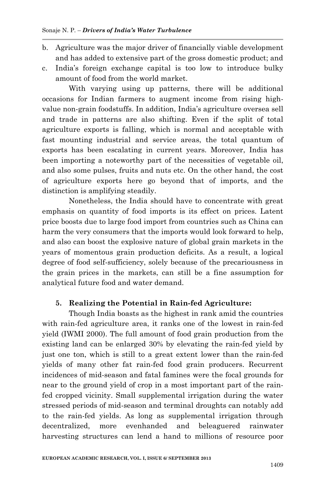- b. Agriculture was the major driver of financially viable development and has added to extensive part of the gross domestic product; and
- c. India"s foreign exchange capital is too low to introduce bulky amount of food from the world market.

With varying using up patterns, there will be additional occasions for Indian farmers to augment income from rising highvalue non-grain foodstuffs. In addition, India"s agriculture oversea sell and trade in patterns are also shifting. Even if the split of total agriculture exports is falling, which is normal and acceptable with fast mounting industrial and service areas, the total quantum of exports has been escalating in current years. Moreover, India has been importing a noteworthy part of the necessities of vegetable oil, and also some pulses, fruits and nuts etc. On the other hand, the cost of agriculture exports here go beyond that of imports, and the distinction is amplifying steadily.

Nonetheless, the India should have to concentrate with great emphasis on quantity of food imports is its effect on prices. Latent price boosts due to large food import from countries such as China can harm the very consumers that the imports would look forward to help, and also can boost the explosive nature of global grain markets in the years of momentous grain production deficits. As a result, a logical degree of food self-sufficiency, solely because of the precariousness in the grain prices in the markets, can still be a fine assumption for analytical future food and water demand.

### **5. Realizing the Potential in Rain-fed Agriculture:**

Though India boasts as the highest in rank amid the countries with rain-fed agriculture area, it ranks one of the lowest in rain-fed yield (IWMI 2000). The full amount of food grain production from the existing land can be enlarged 30% by elevating the rain-fed yield by just one ton, which is still to a great extent lower than the rain-fed yields of many other fat rain-fed food grain producers. Recurrent incidences of mid-season and fatal famines were the focal grounds for near to the ground yield of crop in a most important part of the rainfed cropped vicinity. Small supplemental irrigation during the water stressed periods of mid-season and terminal droughts can notably add to the rain-fed yields. As long as supplemental irrigation through decentralized, more evenhanded and beleaguered rainwater harvesting structures can lend a hand to millions of resource poor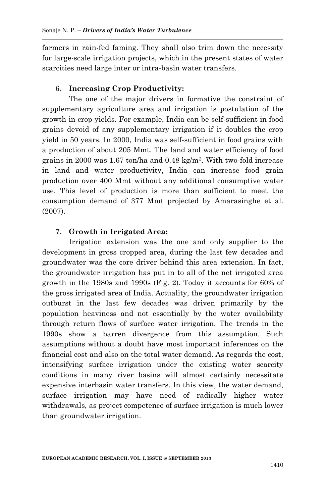farmers in rain-fed faming. They shall also trim down the necessity for large-scale irrigation projects, which in the present states of water scarcities need large inter or intra-basin water transfers.

# **6. Increasing Crop Productivity:**

The one of the major drivers in formative the constraint of supplementary agriculture area and irrigation is postulation of the growth in crop yields. For example, India can be self-sufficient in food grains devoid of any supplementary irrigation if it doubles the crop yield in 50 years. In 2000, India was self-sufficient in food grains with a production of about 205 Mmt. The land and water efficiency of food grains in 2000 was 1.67 ton/ha and 0.48 kg/m3. With two-fold increase in land and water productivity, India can increase food grain production over 400 Mmt without any additional consumptive water use. This level of production is more than sufficient to meet the consumption demand of 377 Mmt projected by Amarasinghe et al. (2007).

# **7. Growth in Irrigated Area:**

Irrigation extension was the one and only supplier to the development in gross cropped area, during the last few decades and groundwater was the core driver behind this area extension. In fact, the groundwater irrigation has put in to all of the net irrigated area growth in the 1980s and 1990s (Fig. 2). Today it accounts for 60% of the gross irrigated area of India. Actuality, the groundwater irrigation outburst in the last few decades was driven primarily by the population heaviness and not essentially by the water availability through return flows of surface water irrigation. The trends in the 1990s show a barren divergence from this assumption. Such assumptions without a doubt have most important inferences on the financial cost and also on the total water demand. As regards the cost, intensifying surface irrigation under the existing water scarcity conditions in many river basins will almost certainly necessitate expensive interbasin water transfers. In this view, the water demand, surface irrigation may have need of radically higher water withdrawals, as project competence of surface irrigation is much lower than groundwater irrigation.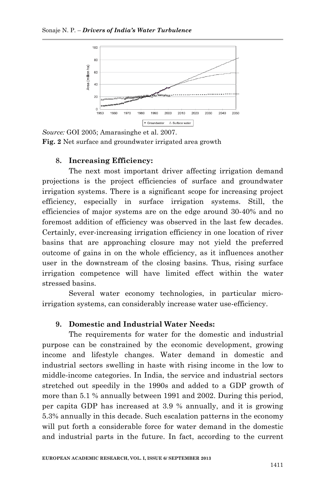

*Source:* GOI 2005; Amarasinghe et al. 2007. **Fig. 2** Net surface and groundwater irrigated area growth

#### **8. Increasing Efficiency:**

The next most important driver affecting irrigation demand projections is the project efficiencies of surface and groundwater irrigation systems. There is a significant scope for increasing project efficiency, especially in surface irrigation systems. Still, the efficiencies of major systems are on the edge around 30-40% and no foremost addition of efficiency was observed in the last few decades. Certainly, ever-increasing irrigation efficiency in one location of river basins that are approaching closure may not yield the preferred outcome of gains in on the whole efficiency, as it influences another user in the downstream of the closing basins. Thus, rising surface irrigation competence will have limited effect within the water stressed basins.

Several water economy technologies, in particular microirrigation systems, can considerably increase water use-efficiency.

### **9. Domestic and Industrial Water Needs:**

The requirements for water for the domestic and industrial purpose can be constrained by the economic development, growing income and lifestyle changes. Water demand in domestic and industrial sectors swelling in haste with rising income in the low to middle-income categories. In India, the service and industrial sectors stretched out speedily in the 1990s and added to a GDP growth of more than 5.1 % annually between 1991 and 2002. During this period, per capita GDP has increased at 3.9 % annually, and it is growing 5.3% annually in this decade. Such escalation patterns in the economy will put forth a considerable force for water demand in the domestic and industrial parts in the future. In fact, according to the current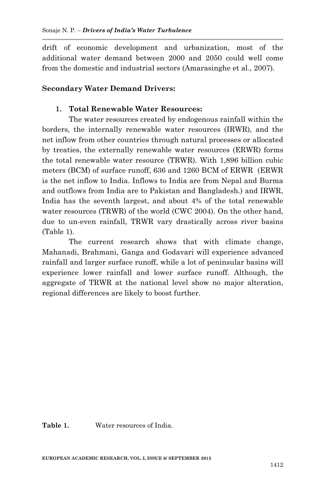drift of economic development and urbanization, most of the additional water demand between 2000 and 2050 could well come from the domestic and industrial sectors (Amarasinghe et al., 2007).

# **Secondary Water Demand Drivers:**

# **1. Total Renewable Water Resources:**

The water resources created by endogenous rainfall within the borders, the internally renewable water resources (IRWR), and the net inflow from other countries through natural processes or allocated by treaties, the externally renewable water resources (ERWR) forms the total renewable water resource (TRWR). With 1,896 billion cubic meters (BCM) of surface runoff, 636 and 1260 BCM of ERWR (ERWR is the net inflow to India. Inflows to India are from Nepal and Burma and outflows from India are to Pakistan and Bangladesh.) and IRWR, India has the seventh largest, and about 4% of the total renewable water resources (TRWR) of the world (CWC 2004). On the other hand, due to un-even rainfall, TRWR vary drastically across river basins (Table 1).

The current research shows that with climate change, Mahanadi, Brahmani, Ganga and Godavari will experience advanced rainfall and larger surface runoff, while a lot of peninsular basins will experience lower rainfall and lower surface runoff. Although, the aggregate of TRWR at the national level show no major alteration, regional differences are likely to boost further.

**Table 1.** Water resources of India.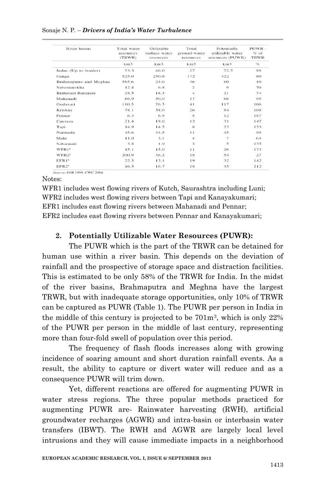#### Sonaje N. P. – *Drivers of India's Water Turbulence*

| River basins           | Total water<br>resources<br>(TRWR) | Utilizable<br>surface water<br>resources | Total<br>ground-water<br>resources | Potentially<br>utilizable water<br>resources (PUWR) | PUWR -<br>$%$ of<br><b>TRWR</b> |
|------------------------|------------------------------------|------------------------------------------|------------------------------------|-----------------------------------------------------|---------------------------------|
|                        | km3                                | km3                                      | km3                                | km3                                                 | $\mathcal{O}_{\mathcal{O}}$     |
| Indus (Up to border)   | 73.3                               | 46.0                                     | 27                                 | 72.5                                                | 99                              |
| Ganga                  | 525.0                              | 250.0                                    | 172                                | 422                                                 | 80                              |
| Brahmaputra and Meghna | 585.6                              | 24.0                                     | 36                                 | 60                                                  | 10                              |
| Subernarekha           | 12.4                               | 6.8                                      | $\overline{c}$                     | 9                                                   | 70                              |
| Brahmani-Baitarani     | 28.5                               | 18.3                                     | $\overline{4}$                     | 21                                                  | 74                              |
| Mahanadi               | 66.9                               | 50.0                                     | 17                                 | 66                                                  | 99                              |
| Godavari               | 110.5                              | 76.3                                     | 41                                 | 117                                                 | 106                             |
| Krishna                | 78.1                               | 58.0                                     | 26                                 | 84                                                  | 108                             |
| Pennar                 | 6.3                                | 6.9                                      | 5                                  | 12                                                  | 187                             |
| Cauvery                | 21.4                               | 19.0                                     | 12                                 | 31                                                  | 147                             |
| Tapi                   | 14.9                               | 14.5                                     | 8                                  | 23                                                  | 153                             |
| Narmada                | 45.6                               | 34.5                                     | 11                                 | 45                                                  | 99                              |
| Mahi                   | 11.0                               | 3.1                                      | $\overline{4}$                     | $\tau$                                              | 64                              |
| Sabarmati              | 3.8                                | 1.9                                      | 3                                  | 5                                                   | 135                             |
| WFR1 <sup>1</sup>      | 15.1                               | 15.0                                     | 11                                 | 26                                                  | 173                             |
| WFR2 <sup>2</sup>      | 200.9                              | 36.2                                     | 18                                 | 54                                                  | 27                              |
| EFR1 <sup>3</sup>      | 22.5                               | 13.1                                     | 19                                 | 32                                                  | 142                             |
| EFR2 <sup>4</sup>      | 16.5                               | 16.7                                     | 18                                 | 35                                                  | 212                             |

Source: GOI 1999, CWC 2004

Notes:

WFR1 includes west flowing rivers of Kutch, Saurashtra including Luni; WFR2 includes west flowing rivers between Tapi and Kanayakumari; EFR1 includes east flowing rivers between Mahanadi and Pennar; EFR2 includes east flowing rivers between Pennar and Kanayakumari;

# **2. Potentially Utilizable Water Resources (PUWR):**

The PUWR which is the part of the TRWR can be detained for human use within a river basin. This depends on the deviation of rainfall and the prospective of storage space and distraction facilities. This is estimated to be only 58% of the TRWR for India. In the midst of the river basins, Brahmaputra and Meghna have the largest TRWR, but with inadequate storage opportunities, only 10% of TRWR can be captured as PUWR (Table 1). The PUWR per person in India in the middle of this century is projected to be  $701<sup>m</sup>$ <sup>3</sup>, which is only  $22\%$ of the PUWR per person in the middle of last century, representing more than four-fold swell of population over this period.

The frequency of flash floods increases along with growing incidence of soaring amount and short duration rainfall events. As a result, the ability to capture or divert water will reduce and as a consequence PUWR will trim down.

Yet, different reactions are offered for augmenting PUWR in water stress regions. The three popular methods practiced for augmenting PUWR are- Rainwater harvesting (RWH), artificial groundwater recharges (AGWR) and intra-basin or interbasin water transfers (IBWT). The RWH and AGWR are largely local level intrusions and they will cause immediate impacts in a neighborhood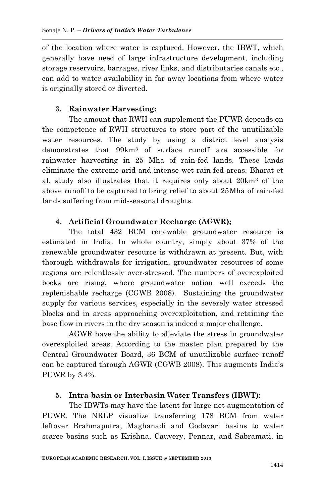of the location where water is captured. However, the IBWT, which generally have need of large infrastructure development, including storage reservoirs, barrages, river links, and distributaries canals etc., can add to water availability in far away locations from where water is originally stored or diverted.

# **3. Rainwater Harvesting:**

The amount that RWH can supplement the PUWR depends on the competence of RWH structures to store part of the unutilizable water resources. The study by using a district level analysis demonstrates that 99km<sup>3</sup> of surface runoff are accessible for rainwater harvesting in 25 Mha of rain-fed lands. These lands eliminate the extreme arid and intense wet rain-fed areas. Bharat et al. study also illustrates that it requires only about 20km<sup>3</sup> of the above runoff to be captured to bring relief to about 25Mha of rain-fed lands suffering from mid-seasonal droughts.

# **4. Artificial Groundwater Recharge (AGWR);**

The total 432 BCM renewable groundwater resource is estimated in India. In whole country, simply about 37% of the renewable groundwater resource is withdrawn at present. But, with thorough withdrawals for irrigation, groundwater resources of some regions are relentlessly over-stressed. The numbers of overexploited bocks are rising, where groundwater notion well exceeds the replenishable recharge (CGWB 2008). Sustaining the groundwater supply for various services, especially in the severely water stressed blocks and in areas approaching overexploitation, and retaining the base flow in rivers in the dry season is indeed a major challenge.

AGWR have the ability to alleviate the stress in groundwater overexploited areas. According to the master plan prepared by the Central Groundwater Board, 36 BCM of unutilizable surface runoff can be captured through AGWR (CGWB 2008). This augments India"s PUWR by 3.4%.

### **5. Intra-basin or Interbasin Water Transfers (IBWT):**

The IBWTs may have the latent for large net augmentation of PUWR. The NRLP visualize transferring 178 BCM from water leftover Brahmaputra, Maghanadi and Godavari basins to water scarce basins such as Krishna, Cauvery, Pennar, and Sabramati, in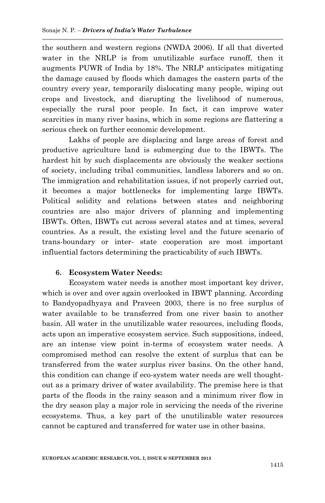the southern and western regions (NWDA 2006). If all that diverted water in the NRLP is from unutilizable surface runoff, then it augments PUWR of India by 18%. The NRLP anticipates mitigating the damage caused by floods which damages the eastern parts of the country every year, temporarily dislocating many people, wiping out crops and livestock, and disrupting the livelihood of numerous, especially the rural poor people. In fact, it can improve water scarcities in many river basins, which in some regions are flattering a serious check on further economic development.

Lakhs of people are displacing and large areas of forest and productive agriculture land is submerging due to the IBWTs. The hardest hit by such displacements are obviously the weaker sections of society, including tribal communities, landless laborers and so on. The immigration and rehabilitation issues, if not properly carried out, it becomes a major bottlenecks for implementing large IBWTs. Political solidity and relations between states and neighboring countries are also major drivers of planning and implementing IBWTs. Often, IBWTs cut across several states and at times, several countries. As a result, the existing level and the future scenario of trans-boundary or inter- state cooperation are most important influential factors determining the practicability of such IBWTs.

### **6. Ecosystem Water Needs:**

Ecosystem water needs is another most important key driver, which is over and over again overlooked in IBWT planning. According to Bandyopadhyaya and Praveen 2003, there is no free surplus of water available to be transferred from one river basin to another basin. All water in the unutilizable water resources, including floods, acts upon an imperative ecosystem service. Such suppositions, indeed, are an intense view point in-terms of ecosystem water needs. A compromised method can resolve the extent of surplus that can be transferred from the water surplus river basins. On the other hand, this condition can change if eco-system water needs are well thoughtout as a primary driver of water availability. The premise here is that parts of the floods in the rainy season and a minimum river flow in the dry season play a major role in servicing the needs of the riverine ecosystems. Thus, a key part of the unutilizable water resources cannot be captured and transferred for water use in other basins.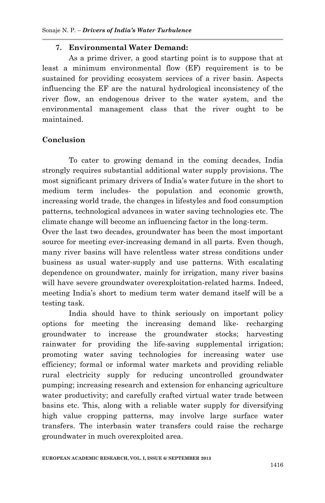### **7. Environmental Water Demand:**

As a prime driver, a good starting point is to suppose that at least a minimum environmental flow (EF) requirement is to be sustained for providing ecosystem services of a river basin. Aspects influencing the EF are the natural hydrological inconsistency of the river flow, an endogenous driver to the water system, and the environmental management class that the river ought to be maintained.

#### **Conclusion**

To cater to growing demand in the coming decades, India strongly requires substantial additional water supply provisions. The most significant primary drivers of India"s water future in the short to medium term includes- the population and economic growth, increasing world trade, the changes in lifestyles and food consumption patterns, technological advances in water saving technologies etc. The climate change will become an influencing factor in the long-term.

Over the last two decades, groundwater has been the most important source for meeting ever-increasing demand in all parts. Even though, many river basins will have relentless water stress conditions under business as usual water-supply and use patterns. With escalating dependence on groundwater, mainly for irrigation, many river basins will have severe groundwater overexploitation-related harms. Indeed, meeting India"s short to medium term water demand itself will be a testing task.

India should have to think seriously on important policy options for meeting the increasing demand like- recharging groundwater to increase the groundwater stocks; harvesting rainwater for providing the life-saving supplemental irrigation; promoting water saving technologies for increasing water use efficiency; formal or informal water markets and providing reliable rural electricity supply for reducing uncontrolled groundwater pumping; increasing research and extension for enhancing agriculture water productivity; and carefully crafted virtual water trade between basins etc. This, along with a reliable water supply for diversifying high value cropping patterns, may involve large surface water transfers. The interbasin water transfers could raise the recharge groundwater in much overexploited area.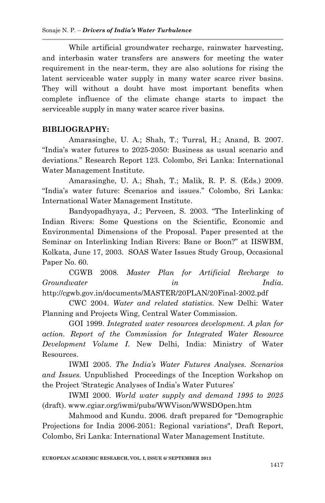While artificial groundwater recharge, rainwater harvesting, and interbasin water transfers are answers for meeting the water requirement in the near-term, they are also solutions for rising the latent serviceable water supply in many water scarce river basins. They will without a doubt have most important benefits when complete influence of the climate change starts to impact the serviceable supply in many water scarce river basins.

### **BIBLIOGRAPHY:**

Amarasinghe, U. A.; Shah, T.; Turral, H.; Anand, B. 2007. "India"s water futures to 2025-2050: Business as usual scenario and deviations." Research Report 123. Colombo, Sri Lanka: International Water Management Institute.

Amarasinghe, U. A.; Shah, T.; Malik, R. P. S. (Eds.) 2009. "India"s water future: Scenarios and issues." Colombo, Sri Lanka: International Water Management Institute.

Bandyopadhyaya, J.; Perveen, S. 2003. "The Interlinking of Indian Rivers: Some Questions on the Scientific, Economic and Environmental Dimensions of the Proposal. Paper presented at the Seminar on Interlinking Indian Rivers: Bane or Boon?" at IISWBM, Kolkata, June 17, 2003. SOAS Water Issues Study Group, Occasional Paper No. 60.

CGWB 2008. *Master Plan for Artificial Recharge to Groundwater in India*. http://cgwb.gov.in/documents/MASTER/20PLAN/20Final-2002.pdf

CWC 2004. *Water and related statistics*. New Delhi: Water Planning and Projects Wing, Central Water Commission.

GOI 1999. *Integrated water resources development. A plan for action. Report of the Commission for Integrated Water Resource Development Volume I*. New Delhi, India: Ministry of Water Resources.

IWMI 2005. *The India's Water Futures Analyses. Scenarios and Issues.* Unpublished Proceedings of the Inception Workshop on the Project "Strategic Analyses of India"s Water Futures"

IWMI 2000. *World water supply and demand 1995 to 2025* (draft). www.cgiar.org/iwmi/pubs/WWVison/WWSDOpen.htm

Mahmood and Kundu. 2006. draft prepared for "Demographic Projections for India 2006-2051: Regional variations", Draft Report, Colombo, Sri Lanka: International Water Management Institute.